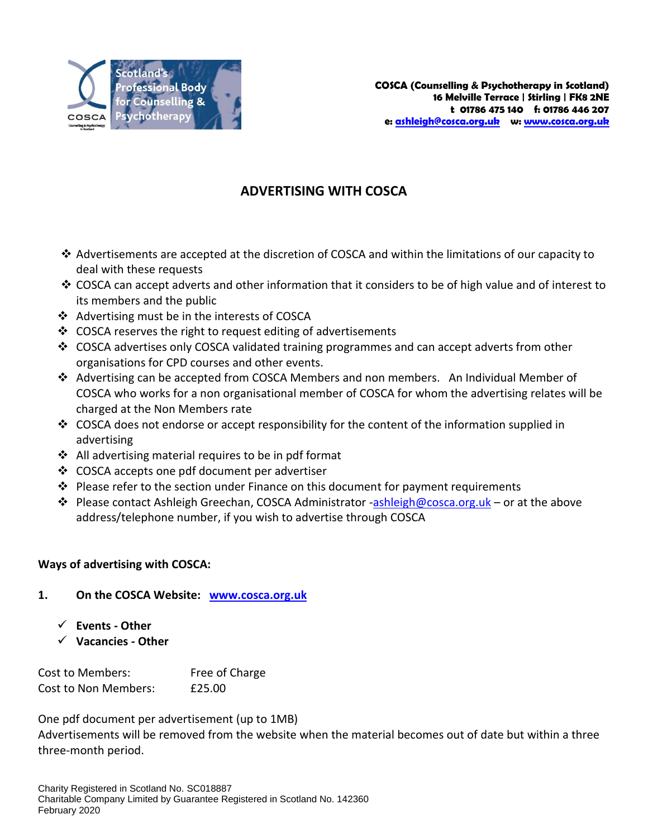

# **ADVERTISING WITH COSCA**

- $\triangle$  Advertisements are accepted at the discretion of COSCA and within the limitations of our capacity to deal with these requests
- COSCA can accept adverts and other information that it considers to be of high value and of interest to its members and the public
- ❖ Advertising must be in the interests of COSCA
- $\div$  COSCA reserves the right to request editing of advertisements
- $\div$  COSCA advertises only COSCA validated training programmes and can accept adverts from other organisations for CPD courses and other events.
- Advertising can be accepted from COSCA Members and non members. An Individual Member of COSCA who works for a non organisational member of COSCA for whom the advertising relates will be charged at the Non Members rate
- $\cdot$  COSCA does not endorse or accept responsibility for the content of the information supplied in advertising
- $\div$  All advertising material requires to be in pdf format
- ❖ COSCA accepts one pdf document per advertiser
- $\div$  Please refer to the section under Finance on this document for payment requirements
- Please contact Ashleigh Greechan, COSCA Administrator [-ashleigh@cosca.org.uk](mailto:ashleigh@cosca.org.uk) or at the above address/telephone number, if you wish to advertise through COSCA

## **Ways of advertising with COSCA:**

## **1. On the COSCA Website: [www.cosca.org.uk](http://www.cosca.org.uk/)**

- **Events - Other**
- **Vacancies - Other**

Cost to Members: Free of Charge Cost to Non Members: £25.00

One pdf document per advertisement (up to 1MB)

Advertisements will be removed from the website when the material becomes out of date but within a three three-month period.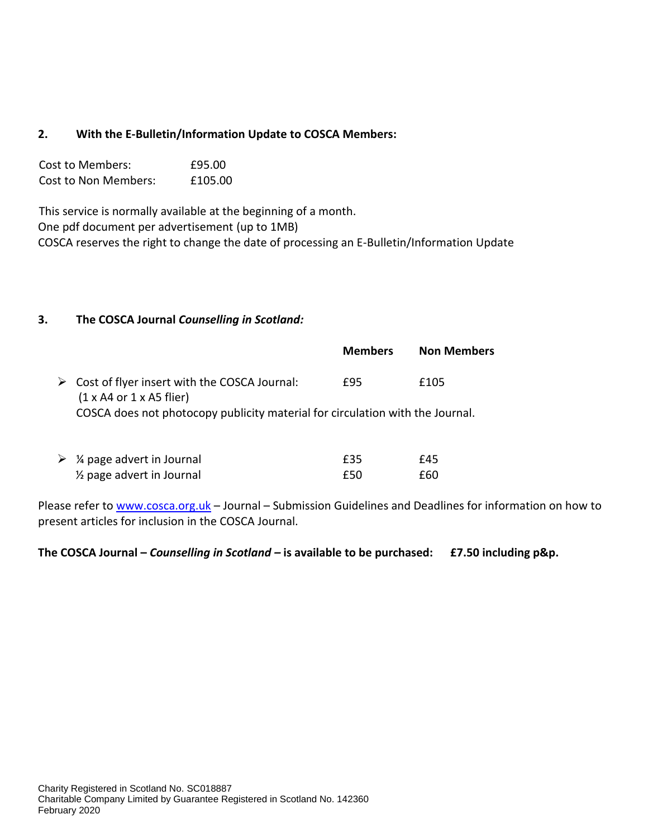## **2. With the E-Bulletin/Information Update to COSCA Members:**

| Cost to Members:            | £95.00  |
|-----------------------------|---------|
| <b>Cost to Non Members:</b> | £105.00 |

This service is normally available at the beginning of a month. One pdf document per advertisement (up to 1MB) COSCA reserves the right to change the date of processing an E-Bulletin/Information Update

#### **3. The COSCA Journal** *Counselling in Scotland:*

|                                                                                                         | <b>Members</b> | <b>Non Members</b> |
|---------------------------------------------------------------------------------------------------------|----------------|--------------------|
| $\triangleright$ Cost of flyer insert with the COSCA Journal:<br>$(1 \times A4$ or $1 \times A5$ flier) | £95            | £105               |
| COSCA does not photocopy publicity material for circulation with the Journal.                           |                |                    |

| $\triangleright$ % page advert in Journal | £35 | £45 |
|-------------------------------------------|-----|-----|
| 1/ <sub>2</sub> page advert in Journal    | £50 | £60 |

Please refer to [www.cosca.org.uk](http://www.cosca.org.uk/) - Journal - Submission Guidelines and Deadlines for information on how to present articles for inclusion in the COSCA Journal.

#### **The COSCA Journal –** *Counselling in Scotland –* **is available to be purchased: £7.50 including p&p.**